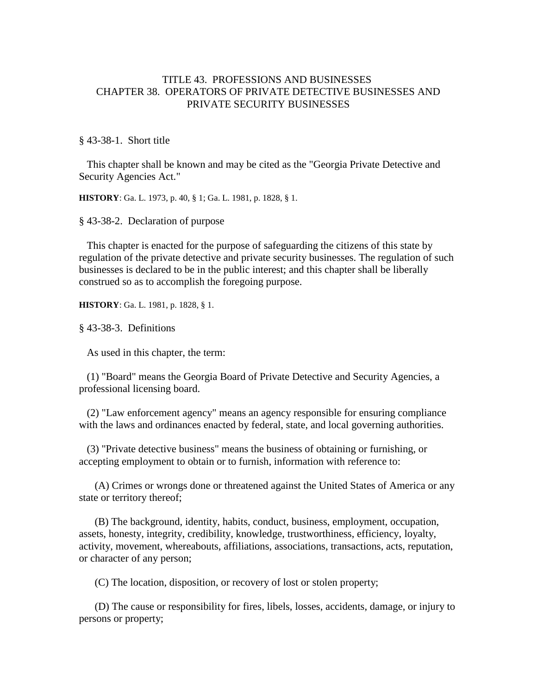## TITLE 43. PROFESSIONS AND BUSINESSES CHAPTER 38. OPERATORS OF PRIVATE DETECTIVE BUSINESSES AND PRIVATE SECURITY BUSINESSES

§ 43-38-1. Short title

 This chapter shall be known and may be cited as the "Georgia Private Detective and Security Agencies Act."

**HISTORY**: Ga. L. 1973, p. 40, § 1; Ga. L. 1981, p. 1828, § 1.

§ 43-38-2. Declaration of purpose

 This chapter is enacted for the purpose of safeguarding the citizens of this state by regulation of the private detective and private security businesses. The regulation of such businesses is declared to be in the public interest; and this chapter shall be liberally construed so as to accomplish the foregoing purpose.

**HISTORY**: Ga. L. 1981, p. 1828, § 1.

§ 43-38-3. Definitions

As used in this chapter, the term:

 (1) "Board" means the Georgia Board of Private Detective and Security Agencies, a professional licensing board.

 (2) "Law enforcement agency" means an agency responsible for ensuring compliance with the laws and ordinances enacted by federal, state, and local governing authorities.

 (3) "Private detective business" means the business of obtaining or furnishing, or accepting employment to obtain or to furnish, information with reference to:

 (A) Crimes or wrongs done or threatened against the United States of America or any state or territory thereof;

 (B) The background, identity, habits, conduct, business, employment, occupation, assets, honesty, integrity, credibility, knowledge, trustworthiness, efficiency, loyalty, activity, movement, whereabouts, affiliations, associations, transactions, acts, reputation, or character of any person;

(C) The location, disposition, or recovery of lost or stolen property;

 (D) The cause or responsibility for fires, libels, losses, accidents, damage, or injury to persons or property;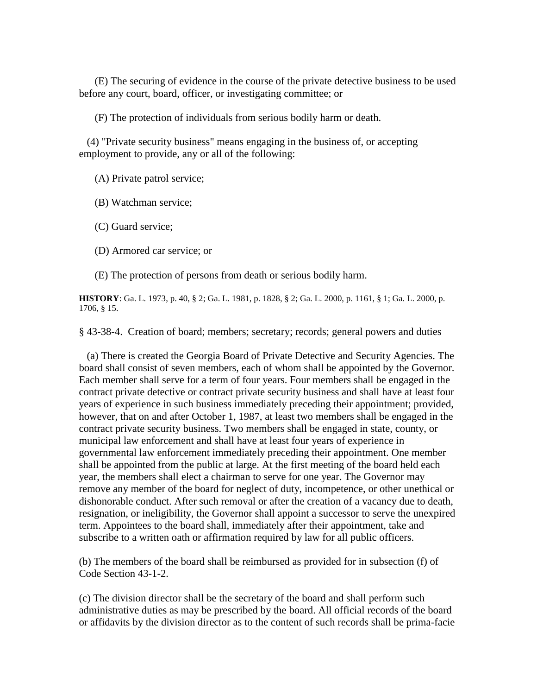(E) The securing of evidence in the course of the private detective business to be used before any court, board, officer, or investigating committee; or

(F) The protection of individuals from serious bodily harm or death.

 (4) "Private security business" means engaging in the business of, or accepting employment to provide, any or all of the following:

(A) Private patrol service;

(B) Watchman service;

(C) Guard service;

(D) Armored car service; or

(E) The protection of persons from death or serious bodily harm.

**HISTORY**: Ga. L. 1973, p. 40, § 2; Ga. L. 1981, p. 1828, § 2; Ga. L. 2000, p. 1161, § 1; Ga. L. 2000, p. 1706, § 15.

§ 43-38-4. Creation of board; members; secretary; records; general powers and duties

 (a) There is created the Georgia Board of Private Detective and Security Agencies. The board shall consist of seven members, each of whom shall be appointed by the Governor. Each member shall serve for a term of four years. Four members shall be engaged in the contract private detective or contract private security business and shall have at least four years of experience in such business immediately preceding their appointment; provided, however, that on and after October 1, 1987, at least two members shall be engaged in the contract private security business. Two members shall be engaged in state, county, or municipal law enforcement and shall have at least four years of experience in governmental law enforcement immediately preceding their appointment. One member shall be appointed from the public at large. At the first meeting of the board held each year, the members shall elect a chairman to serve for one year. The Governor may remove any member of the board for neglect of duty, incompetence, or other unethical or dishonorable conduct. After such removal or after the creation of a vacancy due to death, resignation, or ineligibility, the Governor shall appoint a successor to serve the unexpired term. Appointees to the board shall, immediately after their appointment, take and subscribe to a written oath or affirmation required by law for all public officers.

(b) The members of the board shall be reimbursed as provided for in subsection (f) of Code Section 43-1-2.

(c) The division director shall be the secretary of the board and shall perform such administrative duties as may be prescribed by the board. All official records of the board or affidavits by the division director as to the content of such records shall be prima-facie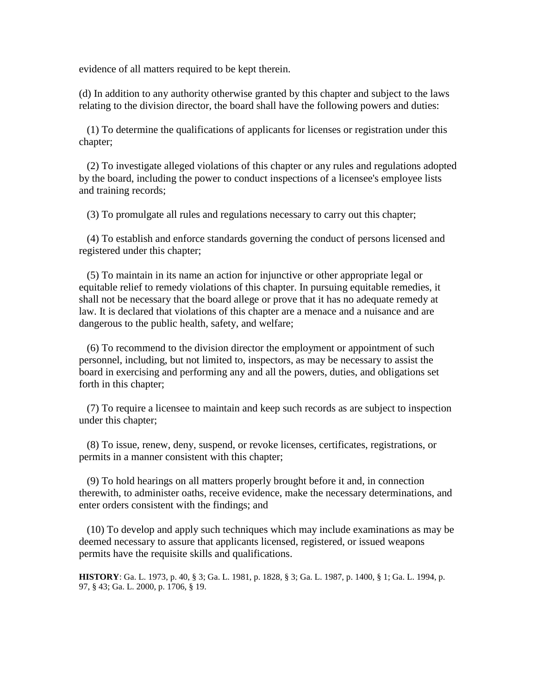evidence of all matters required to be kept therein.

(d) In addition to any authority otherwise granted by this chapter and subject to the laws relating to the division director, the board shall have the following powers and duties:

 (1) To determine the qualifications of applicants for licenses or registration under this chapter;

 (2) To investigate alleged violations of this chapter or any rules and regulations adopted by the board, including the power to conduct inspections of a licensee's employee lists and training records;

(3) To promulgate all rules and regulations necessary to carry out this chapter;

 (4) To establish and enforce standards governing the conduct of persons licensed and registered under this chapter;

 (5) To maintain in its name an action for injunctive or other appropriate legal or equitable relief to remedy violations of this chapter. In pursuing equitable remedies, it shall not be necessary that the board allege or prove that it has no adequate remedy at law. It is declared that violations of this chapter are a menace and a nuisance and are dangerous to the public health, safety, and welfare;

 (6) To recommend to the division director the employment or appointment of such personnel, including, but not limited to, inspectors, as may be necessary to assist the board in exercising and performing any and all the powers, duties, and obligations set forth in this chapter;

 (7) To require a licensee to maintain and keep such records as are subject to inspection under this chapter;

 (8) To issue, renew, deny, suspend, or revoke licenses, certificates, registrations, or permits in a manner consistent with this chapter;

 (9) To hold hearings on all matters properly brought before it and, in connection therewith, to administer oaths, receive evidence, make the necessary determinations, and enter orders consistent with the findings; and

 (10) To develop and apply such techniques which may include examinations as may be deemed necessary to assure that applicants licensed, registered, or issued weapons permits have the requisite skills and qualifications.

**HISTORY**: Ga. L. 1973, p. 40, § 3; Ga. L. 1981, p. 1828, § 3; Ga. L. 1987, p. 1400, § 1; Ga. L. 1994, p. 97, § 43; Ga. L. 2000, p. 1706, § 19.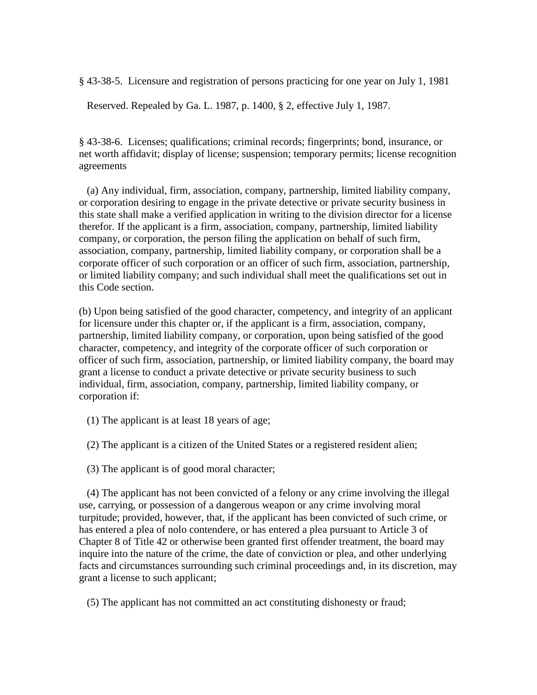§ 43-38-5. Licensure and registration of persons practicing for one year on July 1, 1981

Reserved. Repealed by Ga. L. 1987, p. 1400, § 2, effective July 1, 1987.

§ 43-38-6. Licenses; qualifications; criminal records; fingerprints; bond, insurance, or net worth affidavit; display of license; suspension; temporary permits; license recognition agreements

 (a) Any individual, firm, association, company, partnership, limited liability company, or corporation desiring to engage in the private detective or private security business in this state shall make a verified application in writing to the division director for a license therefor. If the applicant is a firm, association, company, partnership, limited liability company, or corporation, the person filing the application on behalf of such firm, association, company, partnership, limited liability company, or corporation shall be a corporate officer of such corporation or an officer of such firm, association, partnership, or limited liability company; and such individual shall meet the qualifications set out in this Code section.

(b) Upon being satisfied of the good character, competency, and integrity of an applicant for licensure under this chapter or, if the applicant is a firm, association, company, partnership, limited liability company, or corporation, upon being satisfied of the good character, competency, and integrity of the corporate officer of such corporation or officer of such firm, association, partnership, or limited liability company, the board may grant a license to conduct a private detective or private security business to such individual, firm, association, company, partnership, limited liability company, or corporation if:

(1) The applicant is at least 18 years of age;

(2) The applicant is a citizen of the United States or a registered resident alien;

(3) The applicant is of good moral character;

 (4) The applicant has not been convicted of a felony or any crime involving the illegal use, carrying, or possession of a dangerous weapon or any crime involving moral turpitude; provided, however, that, if the applicant has been convicted of such crime, or has entered a plea of nolo contendere, or has entered a plea pursuant to Article 3 of Chapter 8 of Title 42 or otherwise been granted first offender treatment, the board may inquire into the nature of the crime, the date of conviction or plea, and other underlying facts and circumstances surrounding such criminal proceedings and, in its discretion, may grant a license to such applicant;

(5) The applicant has not committed an act constituting dishonesty or fraud;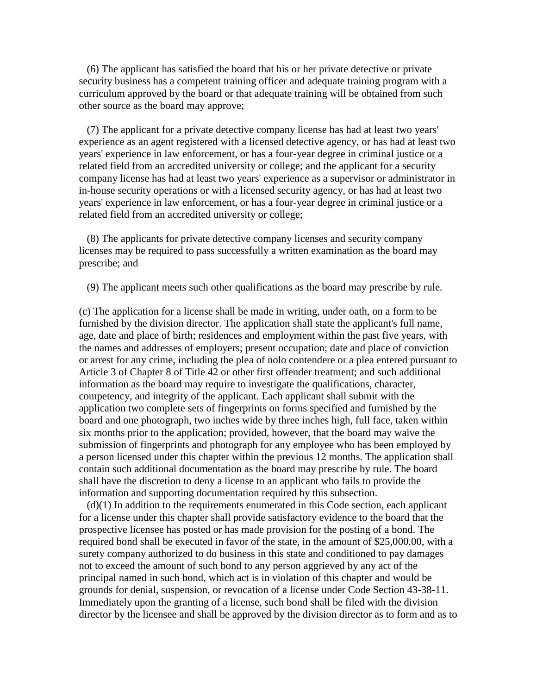(6) The applicant has satisfied the board that his or her private detective or private security business has a competent training officer and adequate training program with a curriculum approved by the board or that adequate training will be obtained from such other source as the board may approve;

 (7) The applicant for a private detective company license has had at least two years' experience as an agent registered with a licensed detective agency, or has had at least two years' experience in law enforcement, or has a four-year degree in criminal justice or a related field from an accredited university or college; and the applicant for a security company license has had at least two years' experience as a supervisor or administrator in in-house security operations or with a licensed security agency, or has had at least two years' experience in law enforcement, or has a four-year degree in criminal justice or a related field from an accredited university or college;

 (8) The applicants for private detective company licenses and security company licenses may be required to pass successfully a written examination as the board may prescribe; and

(9) The applicant meets such other qualifications as the board may prescribe by rule.

(c) The application for a license shall be made in writing, under oath, on a form to be furnished by the division director. The application shall state the applicant's full name, age, date and place of birth; residences and employment within the past five years, with the names and addresses of employers; present occupation; date and place of conviction or arrest for any crime, including the plea of nolo contendere or a plea entered pursuant to Article 3 of Chapter 8 of Title 42 or other first offender treatment; and such additional information as the board may require to investigate the qualifications, character, competency, and integrity of the applicant. Each applicant shall submit with the application two complete sets of fingerprints on forms specified and furnished by the board and one photograph, two inches wide by three inches high, full face, taken within six months prior to the application; provided, however, that the board may waive the submission of fingerprints and photograph for any employee who has been employed by a person licensed under this chapter within the previous 12 months. The application shall contain such additional documentation as the board may prescribe by rule. The board shall have the discretion to deny a license to an applicant who fails to provide the information and supporting documentation required by this subsection.

 $(d)(1)$  In addition to the requirements enumerated in this Code section, each applicant for a license under this chapter shall provide satisfactory evidence to the board that the prospective licensee has posted or has made provision for the posting of a bond. The required bond shall be executed in favor of the state, in the amount of \$25,000.00, with a surety company authorized to do business in this state and conditioned to pay damages not to exceed the amount of such bond to any person aggrieved by any act of the principal named in such bond, which act is in violation of this chapter and would be grounds for denial, suspension, or revocation of a license under Code Section 43-38-11. Immediately upon the granting of a license, such bond shall be filed with the division director by the licensee and shall be approved by the division director as to form and as to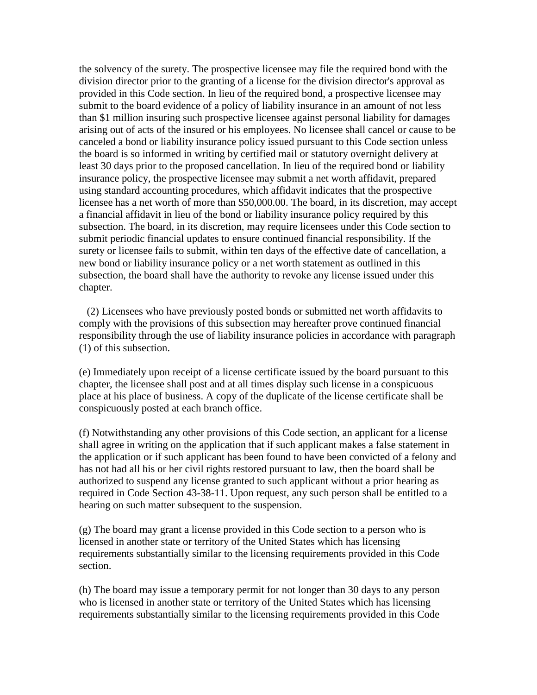the solvency of the surety. The prospective licensee may file the required bond with the division director prior to the granting of a license for the division director's approval as provided in this Code section. In lieu of the required bond, a prospective licensee may submit to the board evidence of a policy of liability insurance in an amount of not less than \$1 million insuring such prospective licensee against personal liability for damages arising out of acts of the insured or his employees. No licensee shall cancel or cause to be canceled a bond or liability insurance policy issued pursuant to this Code section unless the board is so informed in writing by certified mail or statutory overnight delivery at least 30 days prior to the proposed cancellation. In lieu of the required bond or liability insurance policy, the prospective licensee may submit a net worth affidavit, prepared using standard accounting procedures, which affidavit indicates that the prospective licensee has a net worth of more than \$50,000.00. The board, in its discretion, may accept a financial affidavit in lieu of the bond or liability insurance policy required by this subsection. The board, in its discretion, may require licensees under this Code section to submit periodic financial updates to ensure continued financial responsibility. If the surety or licensee fails to submit, within ten days of the effective date of cancellation, a new bond or liability insurance policy or a net worth statement as outlined in this subsection, the board shall have the authority to revoke any license issued under this chapter.

 (2) Licensees who have previously posted bonds or submitted net worth affidavits to comply with the provisions of this subsection may hereafter prove continued financial responsibility through the use of liability insurance policies in accordance with paragraph (1) of this subsection.

(e) Immediately upon receipt of a license certificate issued by the board pursuant to this chapter, the licensee shall post and at all times display such license in a conspicuous place at his place of business. A copy of the duplicate of the license certificate shall be conspicuously posted at each branch office.

(f) Notwithstanding any other provisions of this Code section, an applicant for a license shall agree in writing on the application that if such applicant makes a false statement in the application or if such applicant has been found to have been convicted of a felony and has not had all his or her civil rights restored pursuant to law, then the board shall be authorized to suspend any license granted to such applicant without a prior hearing as required in Code Section 43-38-11. Upon request, any such person shall be entitled to a hearing on such matter subsequent to the suspension.

(g) The board may grant a license provided in this Code section to a person who is licensed in another state or territory of the United States which has licensing requirements substantially similar to the licensing requirements provided in this Code section.

(h) The board may issue a temporary permit for not longer than 30 days to any person who is licensed in another state or territory of the United States which has licensing requirements substantially similar to the licensing requirements provided in this Code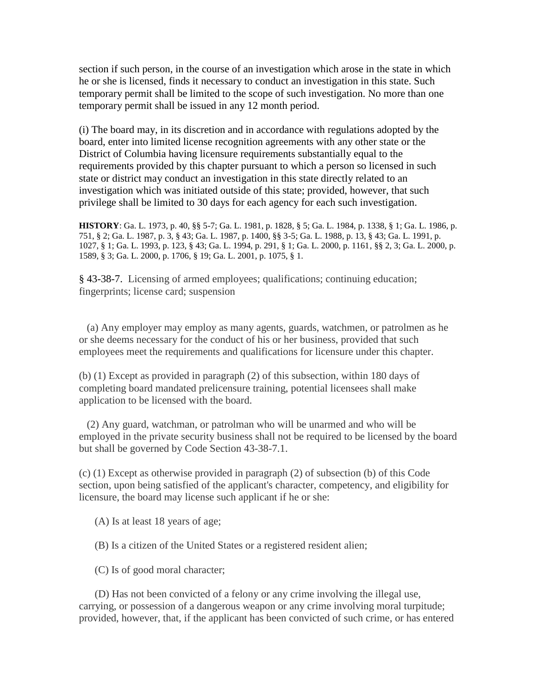section if such person, in the course of an investigation which arose in the state in which he or she is licensed, finds it necessary to conduct an investigation in this state. Such temporary permit shall be limited to the scope of such investigation. No more than one temporary permit shall be issued in any 12 month period.

(i) The board may, in its discretion and in accordance with regulations adopted by the board, enter into limited license recognition agreements with any other state or the District of Columbia having licensure requirements substantially equal to the requirements provided by this chapter pursuant to which a person so licensed in such state or district may conduct an investigation in this state directly related to an investigation which was initiated outside of this state; provided, however, that such privilege shall be limited to 30 days for each agency for each such investigation.

**HISTORY**: Ga. L. 1973, p. 40, §§ 5-7; Ga. L. 1981, p. 1828, § 5; Ga. L. 1984, p. 1338, § 1; Ga. L. 1986, p. 751, § 2; Ga. L. 1987, p. 3, § 43; Ga. L. 1987, p. 1400, §§ 3-5; Ga. L. 1988, p. 13, § 43; Ga. L. 1991, p. 1027, § 1; Ga. L. 1993, p. 123, § 43; Ga. L. 1994, p. 291, § 1; Ga. L. 2000, p. 1161, §§ 2, 3; Ga. L. 2000, p. 1589, § 3; Ga. L. 2000, p. 1706, § 19; Ga. L. 2001, p. 1075, § 1.

§ 43-38-7. Licensing of armed employees; qualifications; continuing education; fingerprints; license card; suspension

 (a) Any employer may employ as many agents, guards, watchmen, or patrolmen as he or she deems necessary for the conduct of his or her business, provided that such employees meet the requirements and qualifications for licensure under this chapter.

(b) (1) Except as provided in paragraph (2) of this subsection, within 180 days of completing board mandated prelicensure training, potential licensees shall make application to be licensed with the board.

 (2) Any guard, watchman, or patrolman who will be unarmed and who will be employed in the private security business shall not be required to be licensed by the board but shall be governed by Code Section 43-38-7.1.

(c) (1) Except as otherwise provided in paragraph (2) of subsection (b) of this Code section, upon being satisfied of the applicant's character, competency, and eligibility for licensure, the board may license such applicant if he or she:

(A) Is at least 18 years of age;

(B) Is a citizen of the United States or a registered resident alien;

(C) Is of good moral character;

 (D) Has not been convicted of a felony or any crime involving the illegal use, carrying, or possession of a dangerous weapon or any crime involving moral turpitude; provided, however, that, if the applicant has been convicted of such crime, or has entered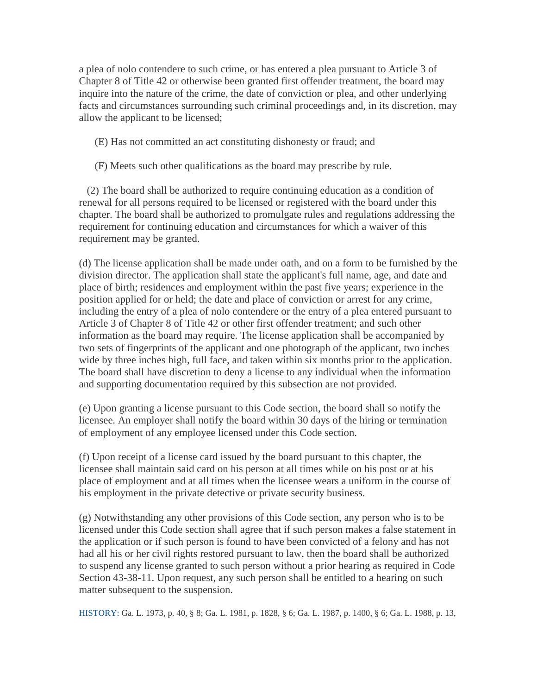a plea of nolo contendere to such crime, or has entered a plea pursuant to Article 3 of Chapter 8 of Title 42 or otherwise been granted first offender treatment, the board may inquire into the nature of the crime, the date of conviction or plea, and other underlying facts and circumstances surrounding such criminal proceedings and, in its discretion, may allow the applicant to be licensed;

(E) Has not committed an act constituting dishonesty or fraud; and

(F) Meets such other qualifications as the board may prescribe by rule.

 (2) The board shall be authorized to require continuing education as a condition of renewal for all persons required to be licensed or registered with the board under this chapter. The board shall be authorized to promulgate rules and regulations addressing the requirement for continuing education and circumstances for which a waiver of this requirement may be granted.

(d) The license application shall be made under oath, and on a form to be furnished by the division director. The application shall state the applicant's full name, age, and date and place of birth; residences and employment within the past five years; experience in the position applied for or held; the date and place of conviction or arrest for any crime, including the entry of a plea of nolo contendere or the entry of a plea entered pursuant to Article 3 of Chapter 8 of Title 42 or other first offender treatment; and such other information as the board may require. The license application shall be accompanied by two sets of fingerprints of the applicant and one photograph of the applicant, two inches wide by three inches high, full face, and taken within six months prior to the application. The board shall have discretion to deny a license to any individual when the information and supporting documentation required by this subsection are not provided.

(e) Upon granting a license pursuant to this Code section, the board shall so notify the licensee. An employer shall notify the board within 30 days of the hiring or termination of employment of any employee licensed under this Code section.

(f) Upon receipt of a license card issued by the board pursuant to this chapter, the licensee shall maintain said card on his person at all times while on his post or at his place of employment and at all times when the licensee wears a uniform in the course of his employment in the private detective or private security business.

(g) Notwithstanding any other provisions of this Code section, any person who is to be licensed under this Code section shall agree that if such person makes a false statement in the application or if such person is found to have been convicted of a felony and has not had all his or her civil rights restored pursuant to law, then the board shall be authorized to suspend any license granted to such person without a prior hearing as required in Code Section 43-38-11. Upon request, any such person shall be entitled to a hearing on such matter subsequent to the suspension.

HISTORY: Ga. L. 1973, p. 40, § 8; Ga. L. 1981, p. 1828, § 6; Ga. L. 1987, p. 1400, § 6; Ga. L. 1988, p. 13,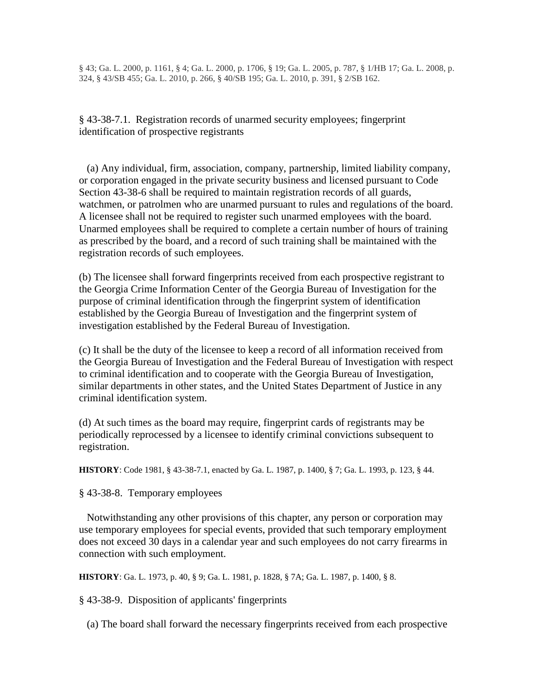§ 43; Ga. L. 2000, p. 1161, § 4; Ga. L. 2000, p. 1706, § 19; Ga. L. 2005, p. 787, § 1/HB 17; Ga. L. 2008, p. 324, § 43/SB 455; Ga. L. 2010, p. 266, § 40/SB 195; Ga. L. 2010, p. 391, § 2/SB 162.

§ 43-38-7.1. Registration records of unarmed security employees; fingerprint identification of prospective registrants

 (a) Any individual, firm, association, company, partnership, limited liability company, or corporation engaged in the private security business and licensed pursuant to Code Section 43-38-6 shall be required to maintain registration records of all guards, watchmen, or patrolmen who are unarmed pursuant to rules and regulations of the board. A licensee shall not be required to register such unarmed employees with the board. Unarmed employees shall be required to complete a certain number of hours of training as prescribed by the board, and a record of such training shall be maintained with the registration records of such employees.

(b) The licensee shall forward fingerprints received from each prospective registrant to the Georgia Crime Information Center of the Georgia Bureau of Investigation for the purpose of criminal identification through the fingerprint system of identification established by the Georgia Bureau of Investigation and the fingerprint system of investigation established by the Federal Bureau of Investigation.

(c) It shall be the duty of the licensee to keep a record of all information received from the Georgia Bureau of Investigation and the Federal Bureau of Investigation with respect to criminal identification and to cooperate with the Georgia Bureau of Investigation, similar departments in other states, and the United States Department of Justice in any criminal identification system.

(d) At such times as the board may require, fingerprint cards of registrants may be periodically reprocessed by a licensee to identify criminal convictions subsequent to registration.

**HISTORY**: Code 1981, § 43-38-7.1, enacted by Ga. L. 1987, p. 1400, § 7; Ga. L. 1993, p. 123, § 44.

§ 43-38-8. Temporary employees

 Notwithstanding any other provisions of this chapter, any person or corporation may use temporary employees for special events, provided that such temporary employment does not exceed 30 days in a calendar year and such employees do not carry firearms in connection with such employment.

**HISTORY**: Ga. L. 1973, p. 40, § 9; Ga. L. 1981, p. 1828, § 7A; Ga. L. 1987, p. 1400, § 8.

§ 43-38-9. Disposition of applicants' fingerprints

(a) The board shall forward the necessary fingerprints received from each prospective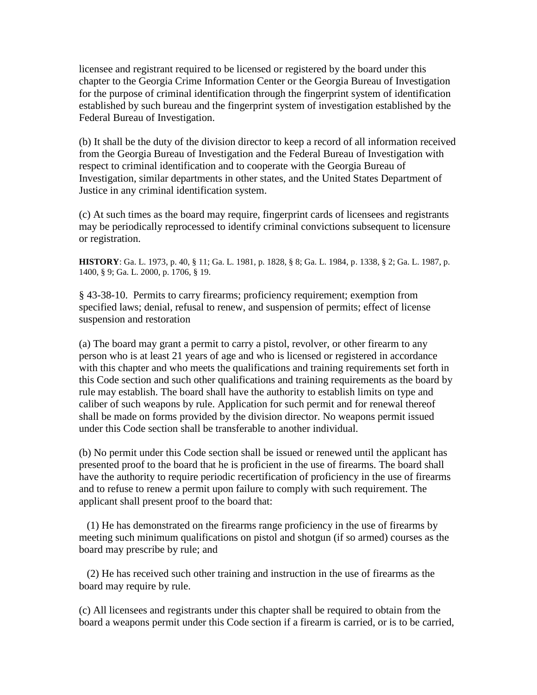licensee and registrant required to be licensed or registered by the board under this chapter to the Georgia Crime Information Center or the Georgia Bureau of Investigation for the purpose of criminal identification through the fingerprint system of identification established by such bureau and the fingerprint system of investigation established by the Federal Bureau of Investigation.

(b) It shall be the duty of the division director to keep a record of all information received from the Georgia Bureau of Investigation and the Federal Bureau of Investigation with respect to criminal identification and to cooperate with the Georgia Bureau of Investigation, similar departments in other states, and the United States Department of Justice in any criminal identification system.

(c) At such times as the board may require, fingerprint cards of licensees and registrants may be periodically reprocessed to identify criminal convictions subsequent to licensure or registration.

**HISTORY**: Ga. L. 1973, p. 40, § 11; Ga. L. 1981, p. 1828, § 8; Ga. L. 1984, p. 1338, § 2; Ga. L. 1987, p. 1400, § 9; Ga. L. 2000, p. 1706, § 19.

§ 43-38-10. Permits to carry firearms; proficiency requirement; exemption from specified laws; denial, refusal to renew, and suspension of permits; effect of license suspension and restoration

(a) The board may grant a permit to carry a pistol, revolver, or other firearm to any person who is at least 21 years of age and who is licensed or registered in accordance with this chapter and who meets the qualifications and training requirements set forth in this Code section and such other qualifications and training requirements as the board by rule may establish. The board shall have the authority to establish limits on type and caliber of such weapons by rule. Application for such permit and for renewal thereof shall be made on forms provided by the division director. No weapons permit issued under this Code section shall be transferable to another individual.

(b) No permit under this Code section shall be issued or renewed until the applicant has presented proof to the board that he is proficient in the use of firearms. The board shall have the authority to require periodic recertification of proficiency in the use of firearms and to refuse to renew a permit upon failure to comply with such requirement. The applicant shall present proof to the board that:

 (1) He has demonstrated on the firearms range proficiency in the use of firearms by meeting such minimum qualifications on pistol and shotgun (if so armed) courses as the board may prescribe by rule; and

 (2) He has received such other training and instruction in the use of firearms as the board may require by rule.

(c) All licensees and registrants under this chapter shall be required to obtain from the board a weapons permit under this Code section if a firearm is carried, or is to be carried,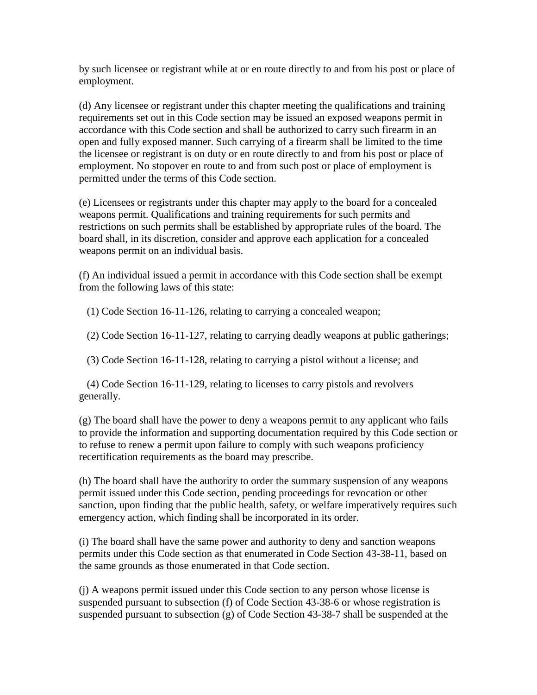by such licensee or registrant while at or en route directly to and from his post or place of employment.

(d) Any licensee or registrant under this chapter meeting the qualifications and training requirements set out in this Code section may be issued an exposed weapons permit in accordance with this Code section and shall be authorized to carry such firearm in an open and fully exposed manner. Such carrying of a firearm shall be limited to the time the licensee or registrant is on duty or en route directly to and from his post or place of employment. No stopover en route to and from such post or place of employment is permitted under the terms of this Code section.

(e) Licensees or registrants under this chapter may apply to the board for a concealed weapons permit. Qualifications and training requirements for such permits and restrictions on such permits shall be established by appropriate rules of the board. The board shall, in its discretion, consider and approve each application for a concealed weapons permit on an individual basis.

(f) An individual issued a permit in accordance with this Code section shall be exempt from the following laws of this state:

(1) Code Section 16-11-126, relating to carrying a concealed weapon;

(2) Code Section 16-11-127, relating to carrying deadly weapons at public gatherings;

(3) Code Section 16-11-128, relating to carrying a pistol without a license; and

 (4) Code Section 16-11-129, relating to licenses to carry pistols and revolvers generally.

(g) The board shall have the power to deny a weapons permit to any applicant who fails to provide the information and supporting documentation required by this Code section or to refuse to renew a permit upon failure to comply with such weapons proficiency recertification requirements as the board may prescribe.

(h) The board shall have the authority to order the summary suspension of any weapons permit issued under this Code section, pending proceedings for revocation or other sanction, upon finding that the public health, safety, or welfare imperatively requires such emergency action, which finding shall be incorporated in its order.

(i) The board shall have the same power and authority to deny and sanction weapons permits under this Code section as that enumerated in Code Section 43-38-11, based on the same grounds as those enumerated in that Code section.

(j) A weapons permit issued under this Code section to any person whose license is suspended pursuant to subsection (f) of Code Section 43-38-6 or whose registration is suspended pursuant to subsection (g) of Code Section 43-38-7 shall be suspended at the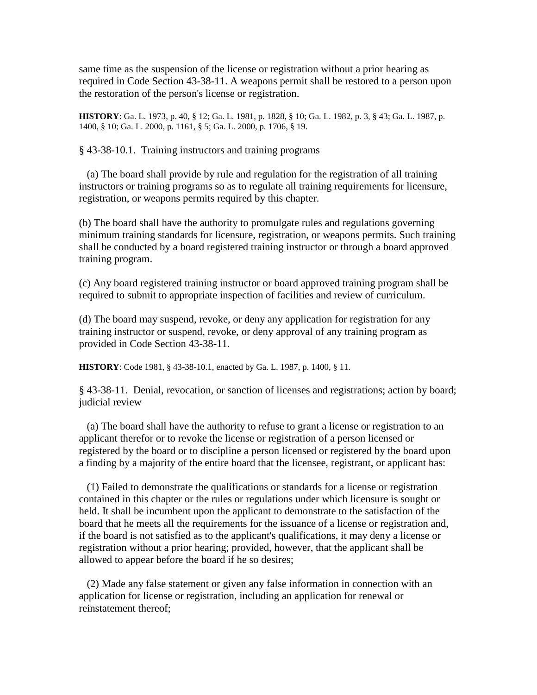same time as the suspension of the license or registration without a prior hearing as required in Code Section 43-38-11. A weapons permit shall be restored to a person upon the restoration of the person's license or registration.

**HISTORY**: Ga. L. 1973, p. 40, § 12; Ga. L. 1981, p. 1828, § 10; Ga. L. 1982, p. 3, § 43; Ga. L. 1987, p. 1400, § 10; Ga. L. 2000, p. 1161, § 5; Ga. L. 2000, p. 1706, § 19.

§ 43-38-10.1. Training instructors and training programs

 (a) The board shall provide by rule and regulation for the registration of all training instructors or training programs so as to regulate all training requirements for licensure, registration, or weapons permits required by this chapter.

(b) The board shall have the authority to promulgate rules and regulations governing minimum training standards for licensure, registration, or weapons permits. Such training shall be conducted by a board registered training instructor or through a board approved training program.

(c) Any board registered training instructor or board approved training program shall be required to submit to appropriate inspection of facilities and review of curriculum.

(d) The board may suspend, revoke, or deny any application for registration for any training instructor or suspend, revoke, or deny approval of any training program as provided in Code Section 43-38-11.

**HISTORY**: Code 1981, § 43-38-10.1, enacted by Ga. L. 1987, p. 1400, § 11.

§ 43-38-11. Denial, revocation, or sanction of licenses and registrations; action by board; judicial review

 (a) The board shall have the authority to refuse to grant a license or registration to an applicant therefor or to revoke the license or registration of a person licensed or registered by the board or to discipline a person licensed or registered by the board upon a finding by a majority of the entire board that the licensee, registrant, or applicant has:

 (1) Failed to demonstrate the qualifications or standards for a license or registration contained in this chapter or the rules or regulations under which licensure is sought or held. It shall be incumbent upon the applicant to demonstrate to the satisfaction of the board that he meets all the requirements for the issuance of a license or registration and, if the board is not satisfied as to the applicant's qualifications, it may deny a license or registration without a prior hearing; provided, however, that the applicant shall be allowed to appear before the board if he so desires;

 (2) Made any false statement or given any false information in connection with an application for license or registration, including an application for renewal or reinstatement thereof;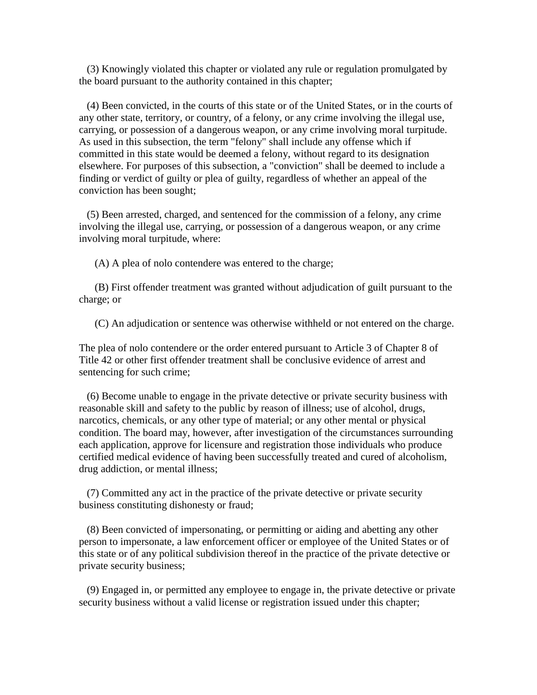(3) Knowingly violated this chapter or violated any rule or regulation promulgated by the board pursuant to the authority contained in this chapter;

 (4) Been convicted, in the courts of this state or of the United States, or in the courts of any other state, territory, or country, of a felony, or any crime involving the illegal use, carrying, or possession of a dangerous weapon, or any crime involving moral turpitude. As used in this subsection, the term "felony" shall include any offense which if committed in this state would be deemed a felony, without regard to its designation elsewhere. For purposes of this subsection, a "conviction" shall be deemed to include a finding or verdict of guilty or plea of guilty, regardless of whether an appeal of the conviction has been sought;

 (5) Been arrested, charged, and sentenced for the commission of a felony, any crime involving the illegal use, carrying, or possession of a dangerous weapon, or any crime involving moral turpitude, where:

(A) A plea of nolo contendere was entered to the charge;

 (B) First offender treatment was granted without adjudication of guilt pursuant to the charge; or

(C) An adjudication or sentence was otherwise withheld or not entered on the charge.

The plea of nolo contendere or the order entered pursuant to Article 3 of Chapter 8 of Title 42 or other first offender treatment shall be conclusive evidence of arrest and sentencing for such crime;

 (6) Become unable to engage in the private detective or private security business with reasonable skill and safety to the public by reason of illness; use of alcohol, drugs, narcotics, chemicals, or any other type of material; or any other mental or physical condition. The board may, however, after investigation of the circumstances surrounding each application, approve for licensure and registration those individuals who produce certified medical evidence of having been successfully treated and cured of alcoholism, drug addiction, or mental illness;

 (7) Committed any act in the practice of the private detective or private security business constituting dishonesty or fraud;

 (8) Been convicted of impersonating, or permitting or aiding and abetting any other person to impersonate, a law enforcement officer or employee of the United States or of this state or of any political subdivision thereof in the practice of the private detective or private security business;

 (9) Engaged in, or permitted any employee to engage in, the private detective or private security business without a valid license or registration issued under this chapter;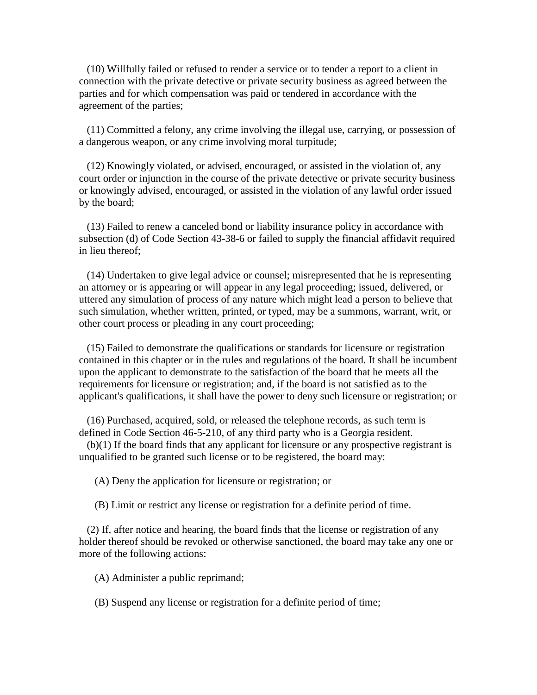(10) Willfully failed or refused to render a service or to tender a report to a client in connection with the private detective or private security business as agreed between the parties and for which compensation was paid or tendered in accordance with the agreement of the parties;

 (11) Committed a felony, any crime involving the illegal use, carrying, or possession of a dangerous weapon, or any crime involving moral turpitude;

 (12) Knowingly violated, or advised, encouraged, or assisted in the violation of, any court order or injunction in the course of the private detective or private security business or knowingly advised, encouraged, or assisted in the violation of any lawful order issued by the board;

 (13) Failed to renew a canceled bond or liability insurance policy in accordance with subsection (d) of Code Section 43-38-6 or failed to supply the financial affidavit required in lieu thereof;

 (14) Undertaken to give legal advice or counsel; misrepresented that he is representing an attorney or is appearing or will appear in any legal proceeding; issued, delivered, or uttered any simulation of process of any nature which might lead a person to believe that such simulation, whether written, printed, or typed, may be a summons, warrant, writ, or other court process or pleading in any court proceeding;

 (15) Failed to demonstrate the qualifications or standards for licensure or registration contained in this chapter or in the rules and regulations of the board. It shall be incumbent upon the applicant to demonstrate to the satisfaction of the board that he meets all the requirements for licensure or registration; and, if the board is not satisfied as to the applicant's qualifications, it shall have the power to deny such licensure or registration; or

 (16) Purchased, acquired, sold, or released the telephone records, as such term is defined in Code Section 46-5-210, of any third party who is a Georgia resident.

 (b)(1) If the board finds that any applicant for licensure or any prospective registrant is unqualified to be granted such license or to be registered, the board may:

(A) Deny the application for licensure or registration; or

(B) Limit or restrict any license or registration for a definite period of time.

 (2) If, after notice and hearing, the board finds that the license or registration of any holder thereof should be revoked or otherwise sanctioned, the board may take any one or more of the following actions:

(A) Administer a public reprimand;

(B) Suspend any license or registration for a definite period of time;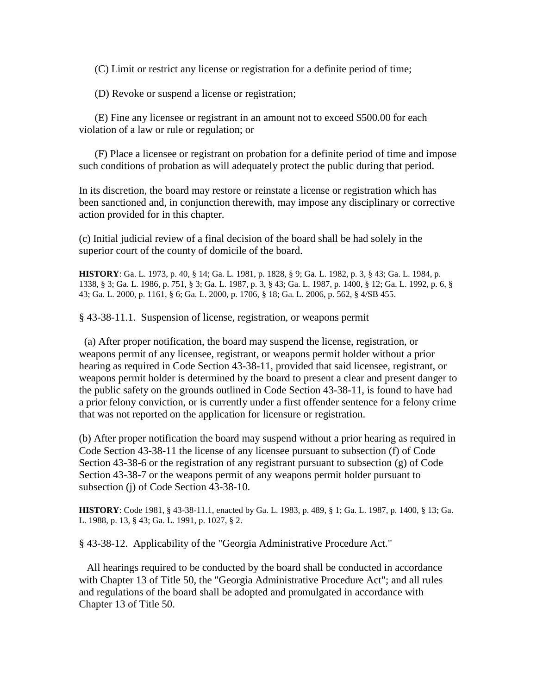(C) Limit or restrict any license or registration for a definite period of time;

(D) Revoke or suspend a license or registration;

 (E) Fine any licensee or registrant in an amount not to exceed \$500.00 for each violation of a law or rule or regulation; or

 (F) Place a licensee or registrant on probation for a definite period of time and impose such conditions of probation as will adequately protect the public during that period.

In its discretion, the board may restore or reinstate a license or registration which has been sanctioned and, in conjunction therewith, may impose any disciplinary or corrective action provided for in this chapter.

(c) Initial judicial review of a final decision of the board shall be had solely in the superior court of the county of domicile of the board.

**HISTORY**: Ga. L. 1973, p. 40, § 14; Ga. L. 1981, p. 1828, § 9; Ga. L. 1982, p. 3, § 43; Ga. L. 1984, p. 1338, § 3; Ga. L. 1986, p. 751, § 3; Ga. L. 1987, p. 3, § 43; Ga. L. 1987, p. 1400, § 12; Ga. L. 1992, p. 6, § 43; Ga. L. 2000, p. 1161, § 6; Ga. L. 2000, p. 1706, § 18; Ga. L. 2006, p. 562, § 4/SB 455.

§ 43-38-11.1. Suspension of license, registration, or weapons permit

(a) After proper notification, the board may suspend the license, registration, or weapons permit of any licensee, registrant, or weapons permit holder without a prior hearing as required in Code Section 43-38-11, provided that said licensee, registrant, or weapons permit holder is determined by the board to present a clear and present danger to the public safety on the grounds outlined in Code Section 43-38-11, is found to have had a prior felony conviction, or is currently under a first offender sentence for a felony crime that was not reported on the application for licensure or registration.

(b) After proper notification the board may suspend without a prior hearing as required in Code Section 43-38-11 the license of any licensee pursuant to subsection (f) of Code Section 43-38-6 or the registration of any registrant pursuant to subsection (g) of Code Section 43-38-7 or the weapons permit of any weapons permit holder pursuant to subsection (j) of Code Section 43-38-10.

**HISTORY**: Code 1981, § 43-38-11.1, enacted by Ga. L. 1983, p. 489, § 1; Ga. L. 1987, p. 1400, § 13; Ga. L. 1988, p. 13, § 43; Ga. L. 1991, p. 1027, § 2.

§ 43-38-12. Applicability of the "Georgia Administrative Procedure Act."

 All hearings required to be conducted by the board shall be conducted in accordance with Chapter 13 of Title 50, the "Georgia Administrative Procedure Act"; and all rules and regulations of the board shall be adopted and promulgated in accordance with Chapter 13 of Title 50.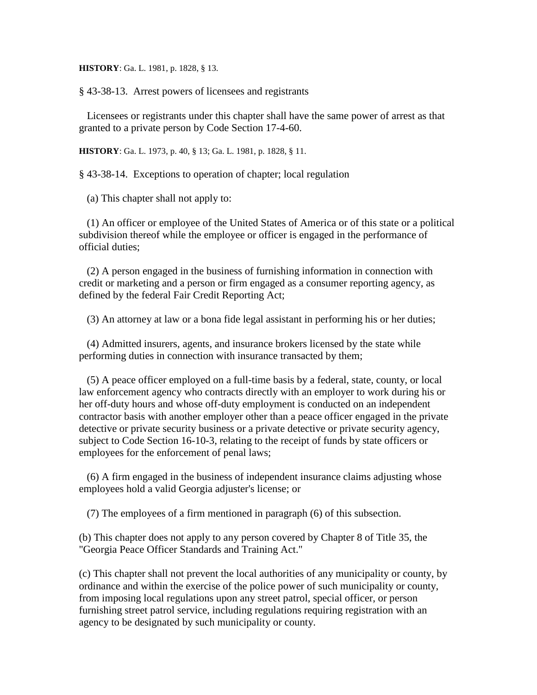**HISTORY**: Ga. L. 1981, p. 1828, § 13.

§ 43-38-13. Arrest powers of licensees and registrants

 Licensees or registrants under this chapter shall have the same power of arrest as that granted to a private person by Code Section 17-4-60.

**HISTORY**: Ga. L. 1973, p. 40, § 13; Ga. L. 1981, p. 1828, § 11.

§ 43-38-14. Exceptions to operation of chapter; local regulation

(a) This chapter shall not apply to:

 (1) An officer or employee of the United States of America or of this state or a political subdivision thereof while the employee or officer is engaged in the performance of official duties;

 (2) A person engaged in the business of furnishing information in connection with credit or marketing and a person or firm engaged as a consumer reporting agency, as defined by the federal Fair Credit Reporting Act;

(3) An attorney at law or a bona fide legal assistant in performing his or her duties;

 (4) Admitted insurers, agents, and insurance brokers licensed by the state while performing duties in connection with insurance transacted by them;

 (5) A peace officer employed on a full-time basis by a federal, state, county, or local law enforcement agency who contracts directly with an employer to work during his or her off-duty hours and whose off-duty employment is conducted on an independent contractor basis with another employer other than a peace officer engaged in the private detective or private security business or a private detective or private security agency, subject to Code Section 16-10-3, relating to the receipt of funds by state officers or employees for the enforcement of penal laws;

 (6) A firm engaged in the business of independent insurance claims adjusting whose employees hold a valid Georgia adjuster's license; or

(7) The employees of a firm mentioned in paragraph (6) of this subsection.

(b) This chapter does not apply to any person covered by Chapter 8 of Title 35, the "Georgia Peace Officer Standards and Training Act."

(c) This chapter shall not prevent the local authorities of any municipality or county, by ordinance and within the exercise of the police power of such municipality or county, from imposing local regulations upon any street patrol, special officer, or person furnishing street patrol service, including regulations requiring registration with an agency to be designated by such municipality or county.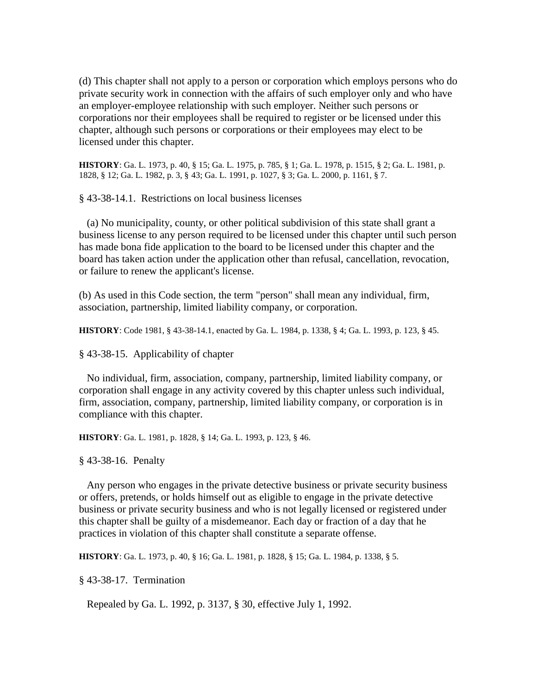(d) This chapter shall not apply to a person or corporation which employs persons who do private security work in connection with the affairs of such employer only and who have an employer-employee relationship with such employer. Neither such persons or corporations nor their employees shall be required to register or be licensed under this chapter, although such persons or corporations or their employees may elect to be licensed under this chapter.

**HISTORY**: Ga. L. 1973, p. 40, § 15; Ga. L. 1975, p. 785, § 1; Ga. L. 1978, p. 1515, § 2; Ga. L. 1981, p. 1828, § 12; Ga. L. 1982, p. 3, § 43; Ga. L. 1991, p. 1027, § 3; Ga. L. 2000, p. 1161, § 7.

§ 43-38-14.1. Restrictions on local business licenses

 (a) No municipality, county, or other political subdivision of this state shall grant a business license to any person required to be licensed under this chapter until such person has made bona fide application to the board to be licensed under this chapter and the board has taken action under the application other than refusal, cancellation, revocation, or failure to renew the applicant's license.

(b) As used in this Code section, the term "person" shall mean any individual, firm, association, partnership, limited liability company, or corporation.

**HISTORY**: Code 1981, § 43-38-14.1, enacted by Ga. L. 1984, p. 1338, § 4; Ga. L. 1993, p. 123, § 45.

§ 43-38-15. Applicability of chapter

 No individual, firm, association, company, partnership, limited liability company, or corporation shall engage in any activity covered by this chapter unless such individual, firm, association, company, partnership, limited liability company, or corporation is in compliance with this chapter.

**HISTORY**: Ga. L. 1981, p. 1828, § 14; Ga. L. 1993, p. 123, § 46.

§ 43-38-16. Penalty

 Any person who engages in the private detective business or private security business or offers, pretends, or holds himself out as eligible to engage in the private detective business or private security business and who is not legally licensed or registered under this chapter shall be guilty of a misdemeanor. Each day or fraction of a day that he practices in violation of this chapter shall constitute a separate offense.

**HISTORY**: Ga. L. 1973, p. 40, § 16; Ga. L. 1981, p. 1828, § 15; Ga. L. 1984, p. 1338, § 5.

§ 43-38-17. Termination

Repealed by Ga. L. 1992, p. 3137, § 30, effective July 1, 1992.